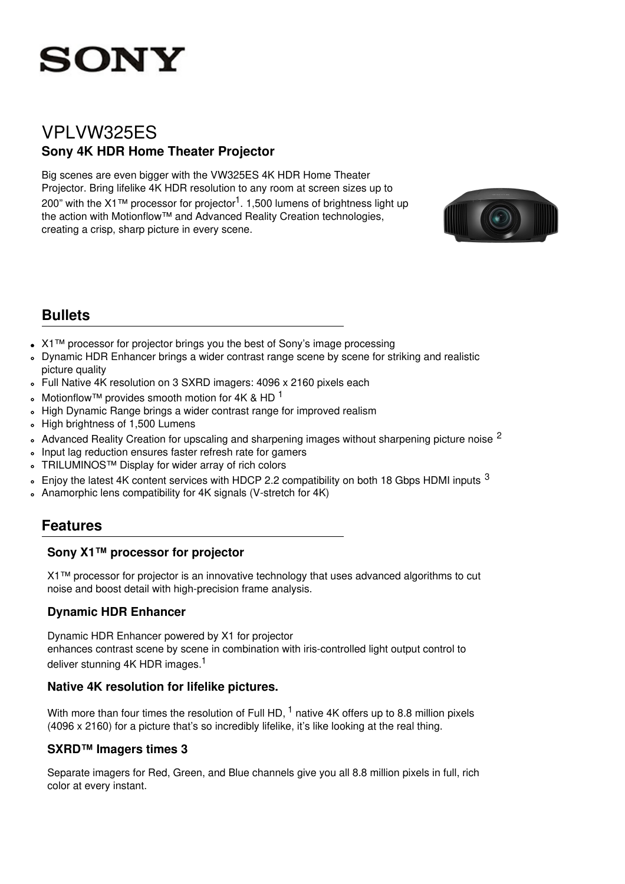

# VPLVW325ES **Sony 4K HDR Home Theater Projector**

Big scenes are even bigger with the VW325ES 4K HDR Home Theater Projector. Bring lifelike 4K HDR resolution to any room at screen sizes up to 200" with the X1™ processor for projector<sup>1</sup>. 1,500 lumens of brightness light up the action with Motionflow™ and Advanced Reality Creation technologies, creating a crisp, sharp picture in every scene.



## **Bullets**

- X1™ processor for projector brings you the best of Sony's image processing
- Dynamic HDR Enhancer brings a wider contrast range scene by scene for striking and realistic picture quality
- Full Native 4K resolution on 3 SXRD imagers: 4096 x 2160 pixels each  $\circ$
- Motionflow™ provides smooth motion for 4K & HD  $<sup>1</sup>$ </sup>  $\ddot{\phantom{0}}$
- High Dynamic Range brings a wider contrast range for improved realism  $\circ$
- High brightness of 1,500 Lumens  $\circ$
- Advanced Reality Creation for upscaling and sharpening images without sharpening picture noise <sup>2</sup>  $\sim$
- Input lag reduction ensures faster refresh rate for gamers  $\circ$
- TRILUMINOS™ Display for wider array of rich colors
- Enjoy the latest 4K content services with HDCP 2.2 compatibility on both 18 Gbps HDMI inputs  $3$  $\circ$
- Anamorphic lens compatibility for 4K signals (V-stretch for 4K)  $\ddot{\phantom{a}}$

## **Features**

### **Sony X1™ processor for projector**

X1™ processor for projector is an innovative technology that uses advanced algorithms to cut noise and boost detail with high-precision frame analysis.

## **Dynamic HDR Enhancer**

Dynamic HDR Enhancer powered by X1 for projector enhances contrast scene by scene in combination with iris-controlled light output control to deliver stunning 4K HDR images.<sup>1</sup>

### **Native 4K resolution for lifelike pictures.**

With more than four times the resolution of Full HD,  $^1$  native 4K offers up to 8.8 million pixels (4096 x 2160) for a picture that's so incredibly lifelike, it's like looking at the real thing.

### **SXRD™ Imagers times 3**

Separate imagers for Red, Green, and Blue channels give you all 8.8 million pixels in full, rich color at every instant.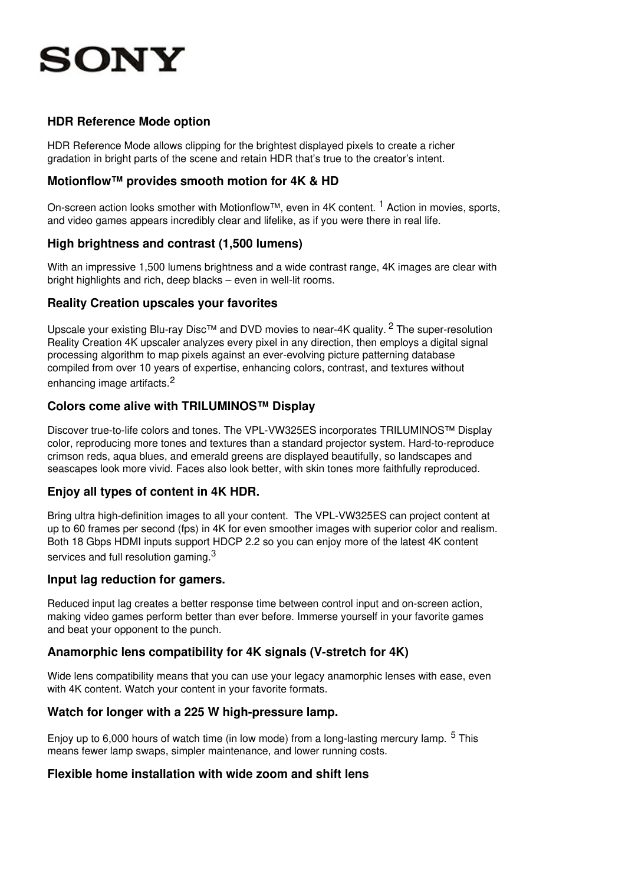# **SONY**

### **HDR Reference Mode option**

HDR Reference Mode allows clipping for the brightest displayed pixels to create a richer gradation in bright parts of the scene and retain HDR that's true to the creator's intent.

### **Motionflow™ provides smooth motion for 4K & HD**

On-screen action looks smother with Motionflow™, even in 4K content. <sup>1</sup> Action in movies, sports, and video games appears incredibly clear and lifelike, as if you were there in real life.

### **High brightness and contrast (1,500 lumens)**

With an impressive 1,500 lumens brightness and a wide contrast range, 4K images are clear with bright highlights and rich, deep blacks – even in well-lit rooms.

### **Reality Creation upscales your favorites**

Upscale your existing Blu-ray Disc™ and DVD movies to near-4K quality. <sup>2</sup> The super-resolution Reality Creation 4K upscaler analyzes every pixel in any direction, then employs a digital signal processing algorithm to map pixels against an ever-evolving picture patterning database compiled from over 10 years of expertise, enhancing colors, contrast, and textures without enhancing image artifacts.<sup>2</sup>

### **Colors come alive with TRILUMINOS™ Display**

Discover true-to-life colors and tones. The VPL-VW325ES incorporates TRILUMINOS™ Display color, reproducing more tones and textures than a standard projector system. Hard-to-reproduce crimson reds, aqua blues, and emerald greens are displayed beautifully, so landscapes and seascapes look more vivid. Faces also look better, with skin tones more faithfully reproduced.

### **Enjoy all types of content in 4K HDR.**

Bring ultra high-definition images to all your content. The VPL-VW325ES can project content at up to 60 frames per second (fps) in 4K for even smoother images with superior color and realism. Both 18 Gbps HDMI inputs support HDCP 2.2 so you can enjoy more of the latest 4K content services and full resolution gaming. $^3$ 

#### **Input lag reduction for gamers.**

Reduced input lag creates a better response time between control input and on-screen action, making video games perform better than ever before. Immerse yourself in your favorite games and beat your opponent to the punch.

#### **Anamorphic lens compatibility for 4K signals (V-stretch for 4K)**

Wide lens compatibility means that you can use your legacy anamorphic lenses with ease, even with 4K content. Watch your content in your favorite formats.

#### **Watch for longer with a 225 W high-pressure lamp.**

Enjoy up to 6,000 hours of watch time (in low mode) from a long-lasting mercury lamp. <sup>5</sup> This means fewer lamp swaps, simpler maintenance, and lower running costs.

#### **Flexible home installation with wide zoom and shift lens**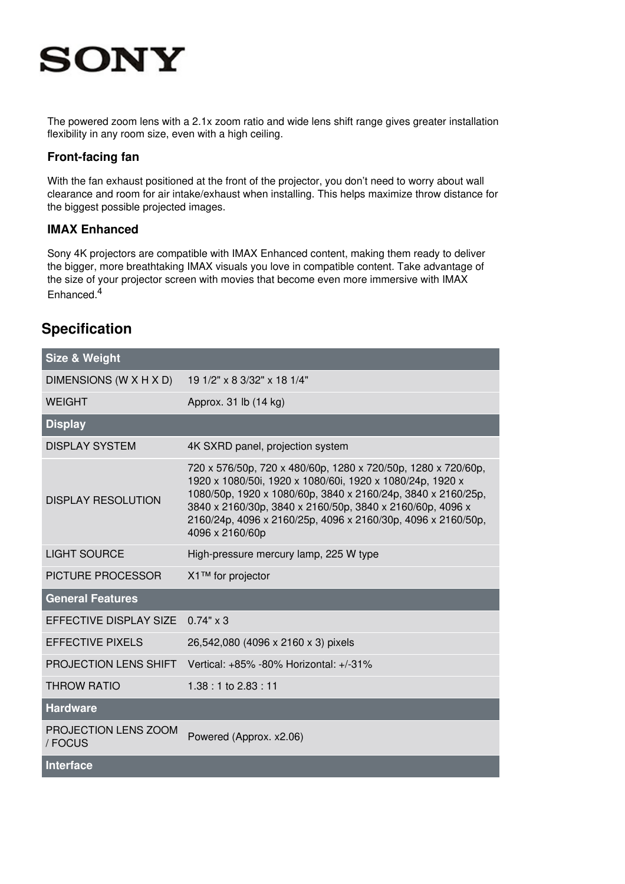# **SONY**

The powered zoom lens with a 2.1x zoom ratio and wide lens shift range gives greater installation flexibility in any room size, even with a high ceiling.

#### **Front-facing fan**

With the fan exhaust positioned at the front of the projector, you don't need to worry about wall clearance and room for air intake/exhaust when installing. This helps maximize throw distance for the biggest possible projected images.

### **IMAX Enhanced**

Sony 4K projectors are compatible with IMAX Enhanced content, making them ready to deliver the bigger, more breathtaking IMAX visuals you love in compatible content. Take advantage of the size of your projector screen with movies that become even more immersive with IMAX Enhanced.<sup>4</sup>

## **Specification**

| <b>Size &amp; Weight</b>        |                                                                                                                                                                                                                                                                                                                                            |
|---------------------------------|--------------------------------------------------------------------------------------------------------------------------------------------------------------------------------------------------------------------------------------------------------------------------------------------------------------------------------------------|
| DIMENSIONS (W X H X D)          | 19 1/2" x 8 3/32" x 18 1/4"                                                                                                                                                                                                                                                                                                                |
| <b>WEIGHT</b>                   | Approx. 31 lb (14 kg)                                                                                                                                                                                                                                                                                                                      |
| <b>Display</b>                  |                                                                                                                                                                                                                                                                                                                                            |
| <b>DISPLAY SYSTEM</b>           | 4K SXRD panel, projection system                                                                                                                                                                                                                                                                                                           |
| <b>DISPLAY RESOLUTION</b>       | 720 x 576/50p, 720 x 480/60p, 1280 x 720/50p, 1280 x 720/60p,<br>1920 x 1080/50i, 1920 x 1080/60i, 1920 x 1080/24p, 1920 x<br>1080/50p, 1920 x 1080/60p, 3840 x 2160/24p, 3840 x 2160/25p,<br>3840 x 2160/30p, 3840 x 2160/50p, 3840 x 2160/60p, 4096 x<br>2160/24p, 4096 x 2160/25p, 4096 x 2160/30p, 4096 x 2160/50p,<br>4096 x 2160/60p |
| <b>LIGHT SOURCE</b>             | High-pressure mercury lamp, 225 W type                                                                                                                                                                                                                                                                                                     |
| PICTURE PROCESSOR               | X1™ for projector                                                                                                                                                                                                                                                                                                                          |
| <b>General Features</b>         |                                                                                                                                                                                                                                                                                                                                            |
| EFFECTIVE DISPLAY SIZE          | $0.74" \times 3$                                                                                                                                                                                                                                                                                                                           |
| <b>EFFECTIVE PIXELS</b>         | 26,542,080 (4096 x 2160 x 3) pixels                                                                                                                                                                                                                                                                                                        |
| <b>PROJECTION LENS SHIFT</b>    | Vertical: +85% -80% Horizontal: +/-31%                                                                                                                                                                                                                                                                                                     |
| <b>THROW RATIO</b>              | 1.38 : 1 to 2.83 : 11                                                                                                                                                                                                                                                                                                                      |
| <b>Hardware</b>                 |                                                                                                                                                                                                                                                                                                                                            |
| PROJECTION LENS ZOOM<br>/ FOCUS | Powered (Approx. x2.06)                                                                                                                                                                                                                                                                                                                    |
| <b>Interface</b>                |                                                                                                                                                                                                                                                                                                                                            |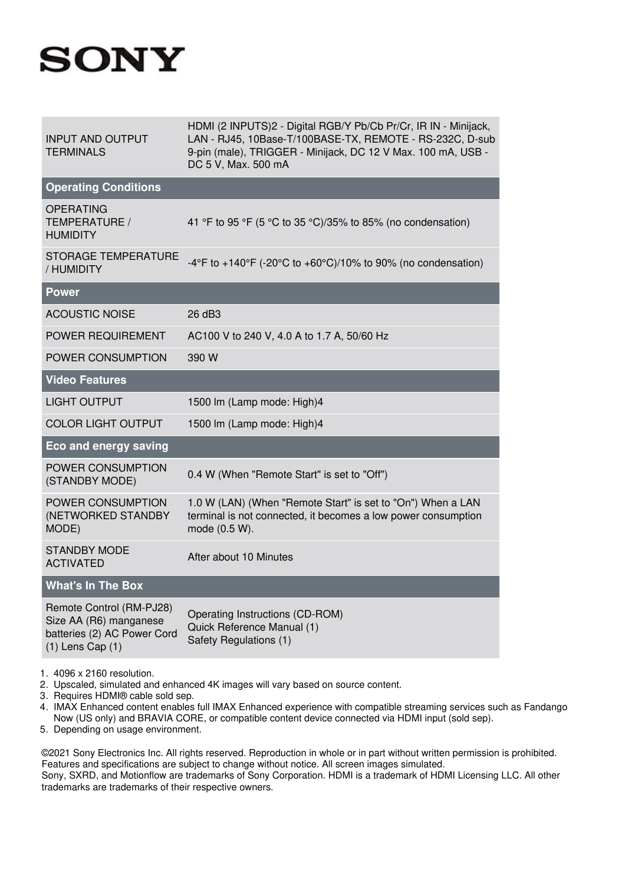# **SONY**

| <b>INPUT AND OUTPUT</b><br><b>TERMINALS</b>                                                               | HDMI (2 INPUTS)2 - Digital RGB/Y Pb/Cb Pr/Cr, IR IN - Minijack,<br>LAN - RJ45, 10Base-T/100BASE-TX, REMOTE - RS-232C, D-sub<br>9-pin (male), TRIGGER - Minijack, DC 12 V Max. 100 mA, USB -<br>DC 5 V, Max. 500 mA |
|-----------------------------------------------------------------------------------------------------------|--------------------------------------------------------------------------------------------------------------------------------------------------------------------------------------------------------------------|
| <b>Operating Conditions</b>                                                                               |                                                                                                                                                                                                                    |
| <b>OPERATING</b><br>TEMPERATURE /<br><b>HUMIDITY</b>                                                      | 41 °F to 95 °F (5 °C to 35 °C)/35% to 85% (no condensation)                                                                                                                                                        |
| <b>STORAGE TEMPERATURE</b><br>/ HUMIDITY                                                                  | -4°F to +140°F (-20°C to +60°C)/10% to 90% (no condensation)                                                                                                                                                       |
| <b>Power</b>                                                                                              |                                                                                                                                                                                                                    |
| <b>ACOUSTIC NOISE</b>                                                                                     | 26 dB3                                                                                                                                                                                                             |
| POWER REQUIREMENT                                                                                         | AC100 V to 240 V, 4.0 A to 1.7 A, 50/60 Hz                                                                                                                                                                         |
| POWER CONSUMPTION                                                                                         | 390 W                                                                                                                                                                                                              |
| <b>Video Features</b>                                                                                     |                                                                                                                                                                                                                    |
| <b>LIGHT OUTPUT</b>                                                                                       | 1500 lm (Lamp mode: High)4                                                                                                                                                                                         |
| <b>COLOR LIGHT OUTPUT</b>                                                                                 | 1500 lm (Lamp mode: High)4                                                                                                                                                                                         |
| <b>Eco and energy saving</b>                                                                              |                                                                                                                                                                                                                    |
| POWER CONSUMPTION<br>(STANDBY MODE)                                                                       | 0.4 W (When "Remote Start" is set to "Off")                                                                                                                                                                        |
| POWER CONSUMPTION<br>(NETWORKED STANDBY<br>MODE)                                                          | 1.0 W (LAN) (When "Remote Start" is set to "On") When a LAN<br>terminal is not connected, it becomes a low power consumption<br>mode (0.5 W).                                                                      |
| <b>STANDBY MODE</b><br><b>ACTIVATED</b>                                                                   | After about 10 Minutes                                                                                                                                                                                             |
| <b>What's In The Box</b>                                                                                  |                                                                                                                                                                                                                    |
| Remote Control (RM-PJ28)<br>Size AA (R6) manganese<br>batteries (2) AC Power Cord<br>$(1)$ Lens Cap $(1)$ | Operating Instructions (CD-ROM)<br>Quick Reference Manual (1)<br>Safety Regulations (1)                                                                                                                            |

- 1. 4096 x 2160 resolution.
- 2. Upscaled, simulated and enhanced 4K images will vary based on source content.
- 3. Requires HDMI® cable sold sep.
- 4. IMAX Enhanced content enables full IMAX Enhanced experience with compatible streaming services such as Fandango Now (US only) and BRAVIA CORE, or compatible content device connected via HDMI input (sold sep).
- 5. Depending on usage environment.

©2021 Sony Electronics Inc. All rights reserved. Reproduction in whole or in part without written permission is prohibited. Features and specifications are subject to change without notice. All screen images simulated. Sony, SXRD, and Motionflow are trademarks of Sony Corporation. HDMI is a trademark of HDMI Licensing LLC. All other trademarks are trademarks of their respective owners.